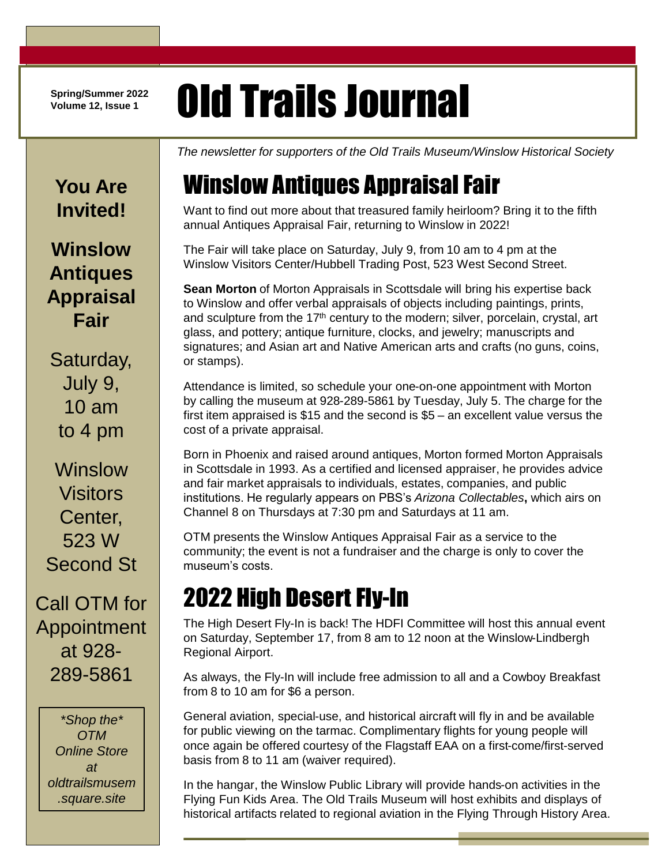**Spring/Summer 2022**

# **Spring/Summer 2022 Did Trails Journal**

**You Are Invited!**

**Winslow Antiques Appraisal Fair**

Saturday, July 9, 10 am to 4 pm

Winslow **Visitors** Center, 523 W Second St

Call OTM for Appointment at 928- 289-5861

> *\*Shop the\* OTM Online Store at oldtrailsmusem .square.site*

*The newsletter for supporters of the Old Trails Museum/Winslow Historical Society*

## Winslow Antiques Appraisal Fair

Want to find out more about that treasured family heirloom? Bring it to the fifth annual Antiques Appraisal Fair, returning to Winslow in 2022!

The Fair will take place on Saturday, July 9, from 10 am to 4 pm at the Winslow Visitors Center/Hubbell Trading Post, 523 West Second Street.

**Sean Morton** of Morton Appraisals in Scottsdale will bring his expertise back to Winslow and offer verbal appraisals of objects including paintings, prints, and sculpture from the 17<sup>th</sup> century to the modern; silver, porcelain, crystal, art glass, and pottery; antique furniture, clocks, and jewelry; manuscripts and signatures; and Asian art and Native American arts and crafts (no guns, coins, or stamps).

Attendance is limited, so schedule your one-on-one appointment with Morton by calling the museum at 928-289-5861 by Tuesday, July 5. The charge for the first item appraised is \$15 and the second is \$5 – an excellent value versus the cost of a private appraisal.

Born in Phoenix and raised around antiques, Morton formed Morton Appraisals in Scottsdale in 1993. As a certified and licensed appraiser, he provides advice and fair market appraisals to individuals, estates, companies, and public institutions. He regularly appears on PBS's *Arizona Collectables***,** which airs on Channel 8 on Thursdays at 7:30 pm and Saturdays at 11 am.

OTM presents the Winslow Antiques Appraisal Fair as a service to the community; the event is not a fundraiser and the charge is only to cover the museum's costs.

### 2022 High Desert Fly-In

The High Desert Fly-In is back! The HDFI Committee will host this annual event on Saturday, September 17, from 8 am to 12 noon at the Winslow-Lindbergh Regional Airport.

As always, the Fly-In will include free admission to all and a Cowboy Breakfast from 8 to 10 am for \$6 a person.

General aviation, special-use, and historical aircraft will fly in and be available for public viewing on the tarmac. Complimentary flights for young people will once again be offered courtesy of the Flagstaff EAA on a first-come/first-served basis from 8 to 11 am (waiver required).

In the hangar, the Winslow Public Library will provide hands-on activities in the Flying Fun Kids Area. The Old Trails Museum will host exhibits and displays of historical artifacts related to regional aviation in the Flying Through History Area.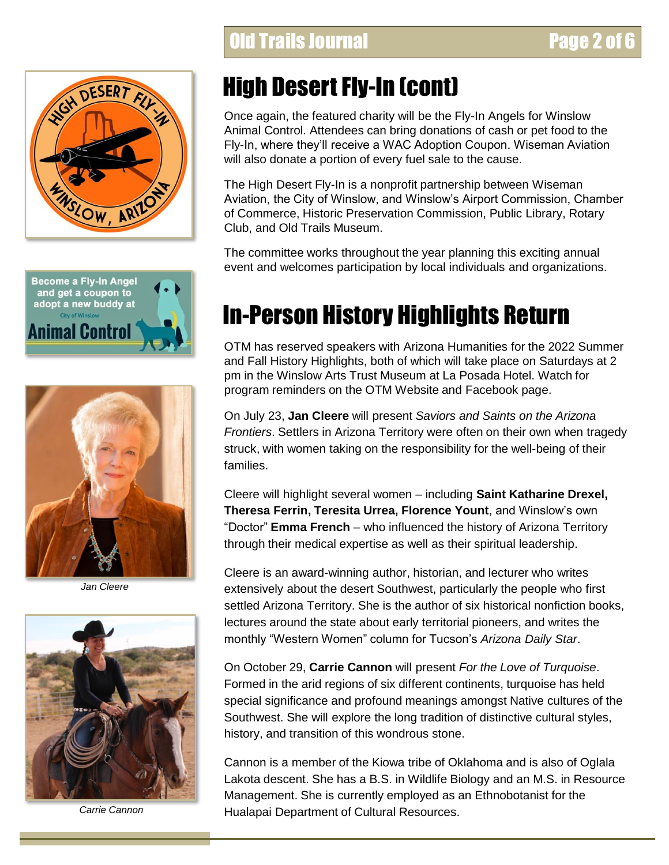





*Jan Cleere*



*Carrie Cannon*

### High Desert Fly-In (cont)

Once again, the featured charity will be the Fly-In Angels for Winslow Animal Control. Attendees can bring donations of cash or pet food to the Fly-In, where they'll receive a WAC Adoption Coupon. Wiseman Aviation will also donate a portion of every fuel sale to the cause.

The High Desert Fly-In is a nonprofit partnership between Wiseman Aviation, the City of Winslow, and Winslow's Airport Commission, Chamber of Commerce, Historic Preservation Commission, Public Library, Rotary Club, and Old Trails Museum.

The committee works throughout the year planning this exciting annual event and welcomes participation by local individuals and organizations.

## In-Person History Highlights Return

OTM has reserved speakers with Arizona Humanities for the 2022 Summer and Fall History Highlights, both of which will take place on Saturdays at 2 pm in the Winslow Arts Trust Museum at La Posada Hotel. Watch for program reminders on the OTM Website and Facebook page.

On July 23, **Jan Cleere** will present *Saviors and Saints on the Arizona Frontiers*. Settlers in Arizona Territory were often on their own when tragedy struck, with women taking on the responsibility for the well-being of their families.

Cleere will highlight several women – including **Saint Katharine Drexel, Theresa Ferrin, Teresita Urrea, Florence Yount**, and Winslow's own "Doctor" **Emma French** – who influenced the history of Arizona Territory through their medical expertise as well as their spiritual leadership.

Cleere is an award-winning author, historian, and lecturer who writes extensively about the desert Southwest, particularly the people who first settled Arizona Territory. She is the author of six historical nonfiction books, lectures around the state about early territorial pioneers, and writes the monthly "Western Women" column for Tucson's *Arizona Daily Star*.

On October 29, **Carrie Cannon** will present *For the Love of Turquoise*. Formed in the arid regions of six different continents, turquoise has held special significance and profound meanings amongst Native cultures of the Southwest. She will explore the long tradition of distinctive cultural styles, history, and transition of this wondrous stone.

Cannon is a member of the Kiowa tribe of Oklahoma and is also of Oglala Lakota descent. She has a B.S. in Wildlife Biology and an M.S. in Resource Management. She is currently employed as an Ethnobotanist for the Hualapai Department of Cultural Resources.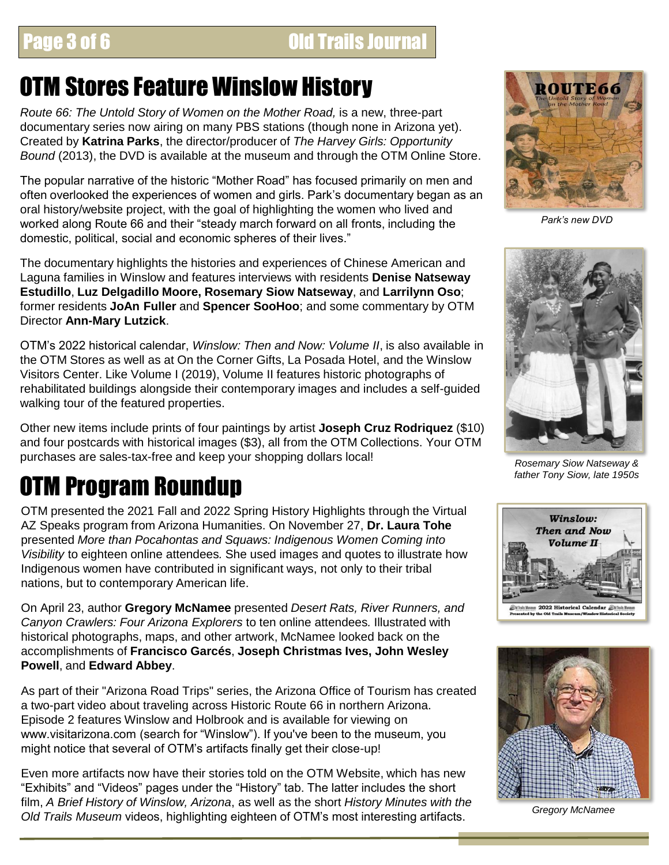### OTM Stores Feature Winslow History

*Route 66: The Untold Story of Women on the Mother Road,* is a new, three-part documentary series now airing on many PBS stations (though none in Arizona yet). Created by **Katrina Parks**, the director/producer of *The Harvey Girls: Opportunity Bound* (2013), the DVD is available at the museum and through the OTM Online Store.

The popular narrative of the historic "Mother Road" has focused primarily on men and often overlooked the experiences of women and girls. Park's documentary began as an oral history/website project, with the goal of highlighting the women who lived and worked along Route 66 and their "steady march forward on all fronts, including the domestic, political, social and economic spheres of their lives."

The documentary highlights the histories and experiences of Chinese American and Laguna families in Winslow and features interviews with residents **Denise Natseway Estudillo**, **Luz Delgadillo Moore, Rosemary Siow Natseway**, and **Larrilynn Oso**; former residents **JoAn Fuller** and **Spencer SooHoo**; and some commentary by OTM Director **Ann-Mary Lutzick**.

OTM's 2022 historical calendar, *Winslow: Then and Now: Volume II*, is also available in the OTM Stores as well as at On the Corner Gifts, La Posada Hotel, and the Winslow Visitors Center. Like Volume I (2019), Volume II features historic photographs of rehabilitated buildings alongside their contemporary images and includes a self-guided walking tour of the featured properties.

Other new items include prints of four paintings by artist **Joseph Cruz Rodriquez** (\$10) and four postcards with historical images (\$3), all from the OTM Collections. Your OTM purchases are sales-tax-free and keep your shopping dollars local!

# OTM Program Roundup

OTM presented the 2021 Fall and 2022 Spring History Highlights through the Virtual AZ Speaks program from Arizona Humanities. On November 27, **Dr. Laura Tohe** presented *More than Pocahontas and Squaws: Indigenous Women Coming into Visibility* to eighteen online attendees*.* She used images and quotes to illustrate how Indigenous women have contributed in significant ways, not only to their tribal nations, but to contemporary American life.

On April 23, author **Gregory McNamee** presented *Desert Rats, River Runners, and Canyon Crawlers: Four Arizona Explorers* to ten online attendees*.* Illustrated with historical photographs, maps, and other artwork, McNamee looked back on the accomplishments of **Francisco Garcés**, **Joseph Christmas Ives, John Wesley Powell**, and **Edward Abbey**.

As part of their "Arizona Road Trips" series, the Arizona Office of Tourism has created a two-part video about traveling across Historic Route 66 in northern Arizona. Episode 2 features Winslow and Holbrook and is available for viewing on www.visitarizona.com (search for "Winslow"). If you've been to the museum, you might notice that several of OTM's artifacts finally get their close-up!

Even more artifacts now have their stories told on the OTM Website, which has new "Exhibits" and "Videos" pages under the "History" tab. The latter includes the short film, *A Brief History of Winslow, Arizona*, as well as the short *History Minutes with the Old Trails Museum* videos, highlighting eighteen of OTM's most interesting artifacts.



*Park's new DVD*



*Rosemary Siow Natseway & father Tony Siow, late 1950s*





*Gregory McNamee*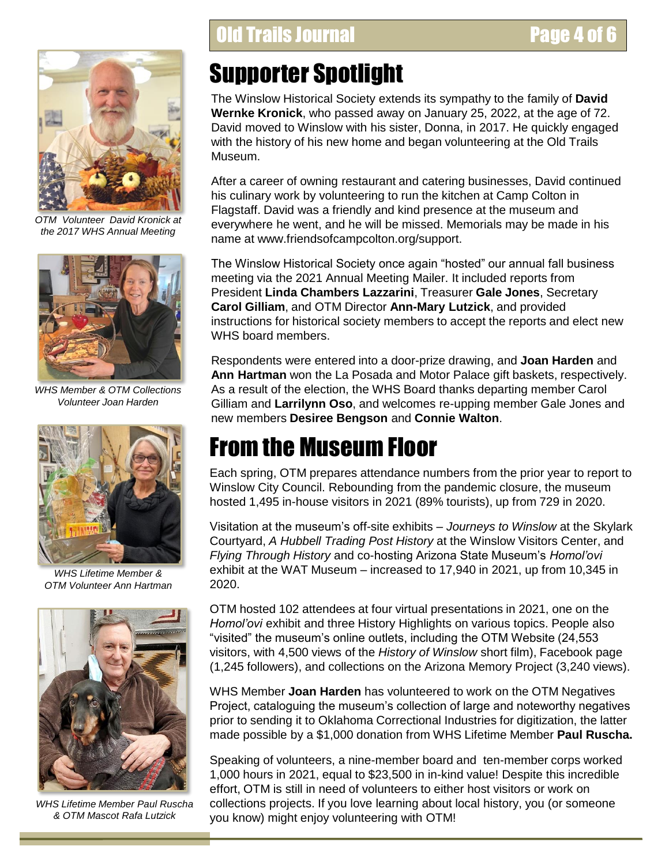

*OTM Volunteer David Kronick at the 2017 WHS Annual Meeting*



*WHS Member & OTM Collections Volunteer Joan Harden*



*WHS Lifetime Member & OTM Volunteer Ann Hartman*



*WHS Lifetime Member Paul Ruscha & OTM Mascot Rafa Lutzick*

### Supporter Spotlight

The Winslow Historical Society extends its sympathy to the family of **David Wernke Kronick**, who passed away on January 25, 2022, at the age of 72. David moved to Winslow with his sister, Donna, in 2017. He quickly engaged with the history of his new home and began volunteering at the Old Trails Museum.

After a career of owning restaurant and catering businesses, David continued his culinary work by volunteering to run the kitchen at Camp Colton in Flagstaff. David was a friendly and kind presence at the museum and everywhere he went, and he will be missed. Memorials may be made in his name at www.friendsofcampcolton.org/support.

The Winslow Historical Society once again "hosted" our annual fall business meeting via the 2021 Annual Meeting Mailer. It included reports from President **Linda Chambers Lazzarini**, Treasurer **Gale Jones**, Secretary **Carol Gilliam**, and OTM Director **Ann-Mary Lutzick**, and provided instructions for historical society members to accept the reports and elect new WHS board members.

Respondents were entered into a door-prize drawing, and **Joan Harden** and **Ann Hartman** won the La Posada and Motor Palace gift baskets, respectively. As a result of the election, the WHS Board thanks departing member Carol Gilliam and **Larrilynn Oso**, and welcomes re-upping member Gale Jones and new members **Desiree Bengson** and **Connie Walton**.

### From the Museum Floor

Each spring, OTM prepares attendance numbers from the prior year to report to Winslow City Council. Rebounding from the pandemic closure, the museum hosted 1,495 in-house visitors in 2021 (89% tourists), up from 729 in 2020.

Visitation at the museum's off-site exhibits – *Journeys to Winslow* at the Skylark Courtyard, *A Hubbell Trading Post History* at the Winslow Visitors Center, and *Flying Through History* and co-hosting Arizona State Museum's *Homol'ovi* exhibit at the WAT Museum – increased to 17,940 in 2021, up from 10,345 in 2020.

OTM hosted 102 attendees at four virtual presentations in 2021, one on the *Homol'ovi* exhibit and three History Highlights on various topics. People also "visited" the museum's online outlets, including the OTM Website (24,553 visitors, with 4,500 views of the *History of Winslow* short film), Facebook page (1,245 followers), and collections on the Arizona Memory Project (3,240 views).

WHS Member **Joan Harden** has volunteered to work on the OTM Negatives Project, cataloguing the museum's collection of large and noteworthy negatives prior to sending it to Oklahoma Correctional Industries for digitization, the latter made possible by a \$1,000 donation from WHS Lifetime Member **Paul Ruscha.**

Speaking of volunteers, a nine-member board and ten-member corps worked 1,000 hours in 2021, equal to \$23,500 in in-kind value! Despite this incredible effort, OTM is still in need of volunteers to either host visitors or work on collections projects. If you love learning about local history, you (or someone you know) might enjoy volunteering with OTM!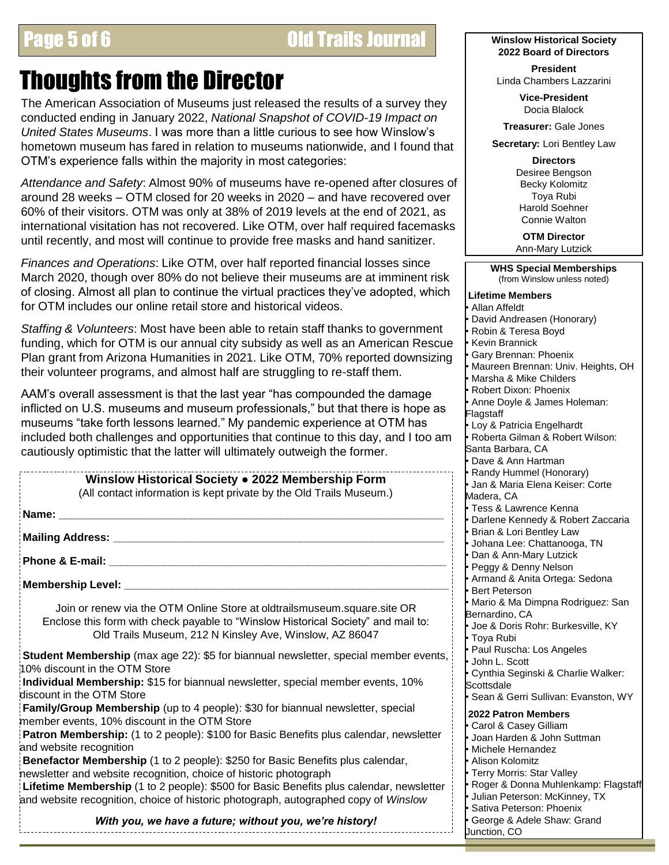#### Page 5 of 6

#### **Old Trails Journal Winslow Historical Society**

### Thoughts from the Director

The American Association of Museums just released the results of a survey they conducted ending in January 2022, *National Snapshot of COVID-19 Impact on United States Museums*. I was more than a little curious to see how Winslow's hometown museum has fared in relation to museums nationwide, and I found that OTM's experience falls within the majority in most categories:

*Attendance and Safety*: Almost 90% of museums have re-opened after closures of around 28 weeks – OTM closed for 20 weeks in 2020 – and have recovered over 60% of their visitors. OTM was only at 38% of 2019 levels at the end of 2021, as international visitation has not recovered. Like OTM, over half required facemasks until recently, and most will continue to provide free masks and hand sanitizer.

*Finances and Operations*: Like OTM, over half reported financial losses since March 2020, though over 80% do not believe their museums are at imminent risk of closing. Almost all plan to continue the virtual practices they've adopted, which for OTM includes our online retail store and historical videos.

*Staffing & Volunteers*: Most have been able to retain staff thanks to government funding, which for OTM is our annual city subsidy as well as an American Rescue Plan grant from Arizona Humanities in 2021. Like OTM, 70% reported downsizing their volunteer programs, and almost half are struggling to re-staff them.

AAM's overall assessment is that the last year "has compounded the damage inflicted on U.S. museums and museum professionals," but that there is hope as museums "take forth lessons learned." My pandemic experience at OTM has included both challenges and opportunities that continue to this day, and I too am cautiously optimistic that the latter will ultimately outweigh the former.

### **Winslow Historical Society ● 2022 Membership Form**

(All contact information is kept private by the Old Trails Museum.)

**Name: \_\_\_\_\_\_\_\_\_\_\_\_\_\_\_\_\_\_\_\_\_\_\_\_\_\_\_\_\_\_\_\_\_\_\_\_\_\_\_\_\_\_\_\_\_\_\_\_\_\_\_\_\_\_\_\_\_\_\_\_\_\_\_\_**

**Mailing Address:** 

**Phone & E-mail:** 

**Membership Level: \_\_\_\_\_\_\_\_\_\_\_\_\_\_\_\_\_\_\_\_\_\_\_\_\_\_\_\_\_\_\_\_\_\_\_\_\_\_\_\_\_\_\_\_\_\_\_\_\_\_\_\_\_\_**

Join or renew via the OTM Online Store at oldtrailsmuseum.square.site OR Enclose this form with check payable to "Winslow Historical Society" and mail to: Old Trails Museum, 212 N Kinsley Ave, Winslow, AZ 86047

**Student Membership** (max age 22): \$5 for biannual newsletter, special member events, 10% discount in the OTM Store

**Individual Membership:** \$15 for biannual newsletter, special member events, 10% discount in the OTM Store

**Family/Group Membership** (up to 4 people): \$30 for biannual newsletter, special member events, 10% discount in the OTM Store

**Patron Membership:** (1 to 2 people): \$100 for Basic Benefits plus calendar, newsletter and website recognition

**Benefactor Membership** (1 to 2 people): \$250 for Basic Benefits plus calendar, newsletter and website recognition, choice of historic photograph

**Lifetime Membership** (1 to 2 people): \$500 for Basic Benefits plus calendar, newsletter and website recognition, choice of historic photograph, autographed copy of *Winslow*

*With you, we have a future; without you, we're history!*

#### **2022 Board of Directors**

**President** Linda Chambers Lazzarini

> **Vice-President** Docia Blalock

**Treasurer:** Gale Jones

**Secretary:** Lori Bentley Law

**Directors** Desiree Bengson Becky Kolomitz Toya Rubi Harold Soehner Connie Walton

**OTM Director** Ann-Mary Lutzick

**WHS Special Memberships** (from Winslow unless noted)

#### **Lifetime Members** • Allan Affeldt

- David Andreasen (Honorary)
- Robin & Teresa Boyd
- Kevin Brannick
- Gary Brennan: Phoenix
- Maureen Brennan: Univ. Heights, OH
- Marsha & Mike Childers
- Robert Dixon: Phoenix
- Anne Doyle & James Holeman: Flagstaff
- Loy & Patricia Engelhardt • Roberta Gilman & Robert Wilson:
- Santa Barbara, CA
- Dave & Ann Hartman
- Randy Hummel (Honorary)
- Jan & Maria Elena Keiser: Corte Madera, CA
- Tess & Lawrence Kenna
- Darlene Kennedy & Robert Zaccaria • Brian & Lori Bentley Law
- Johana Lee: Chattanooga, TN
- Dan & Ann-Mary Lutzick
- Peggy & Denny Nelson
- Armand & Anita Ortega: Sedona Bert Peterson
- Mario & Ma Dimpna Rodriguez: San Bernardino, CA
- Joe & Doris Rohr: Burkesville, KY
- Toya Rubi
- Paul Ruscha: Los Angeles
- John L. Scott
- Cynthia Seginski & Charlie Walker:
- **Scottsdale**
- Sean & Gerri Sullivan: Evanston, WY

#### **2022 Patron Members**

- Carol & Casey Gilliam
- Joan Harden & John Suttman
- Michele Hernandez
- Alison Kolomitz
- Terry Morris: Star Valley
- Roger & Donna Muhlenkamp: Flagstaff
- Julian Peterson: McKinney, TX
- Sativa Peterson: Phoenix
- George & Adele Shaw: Grand
- Junction, CO